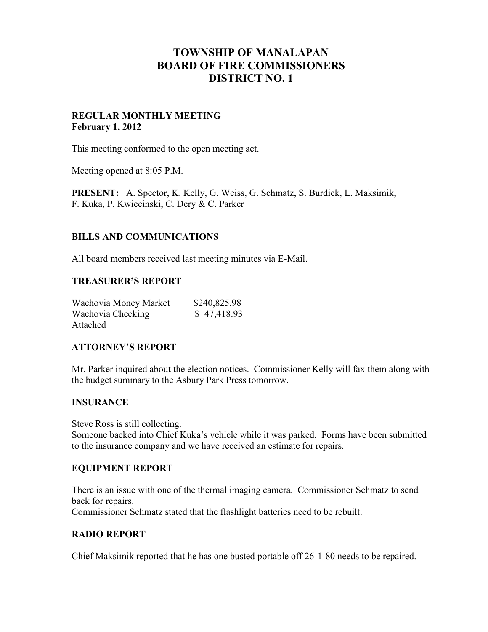# **TOWNSHIP OF MANALAPAN BOARD OF FIRE COMMISSIONERS DISTRICT NO. 1**

# **REGULAR MONTHLY MEETING February 1, 2012**

This meeting conformed to the open meeting act.

Meeting opened at 8:05 P.M.

**PRESENT:** A. Spector, K. Kelly, G. Weiss, G. Schmatz, S. Burdick, L. Maksimik, F. Kuka, P. Kwiecinski, C. Dery & C. Parker

# **BILLS AND COMMUNICATIONS**

All board members received last meeting minutes via E-Mail.

#### **TREASURER'S REPORT**

| Wachovia Money Market | \$240,825.98 |
|-----------------------|--------------|
| Wachovia Checking     | \$47,418.93  |
| Attached              |              |

#### **ATTORNEY'S REPORT**

Mr. Parker inquired about the election notices. Commissioner Kelly will fax them along with the budget summary to the Asbury Park Press tomorrow.

#### **INSURANCE**

Steve Ross is still collecting. Someone backed into Chief Kuka's vehicle while it was parked. Forms have been submitted to the insurance company and we have received an estimate for repairs.

#### **EQUIPMENT REPORT**

There is an issue with one of the thermal imaging camera. Commissioner Schmatz to send back for repairs. Commissioner Schmatz stated that the flashlight batteries need to be rebuilt.

#### **RADIO REPORT**

Chief Maksimik reported that he has one busted portable off 26-1-80 needs to be repaired.